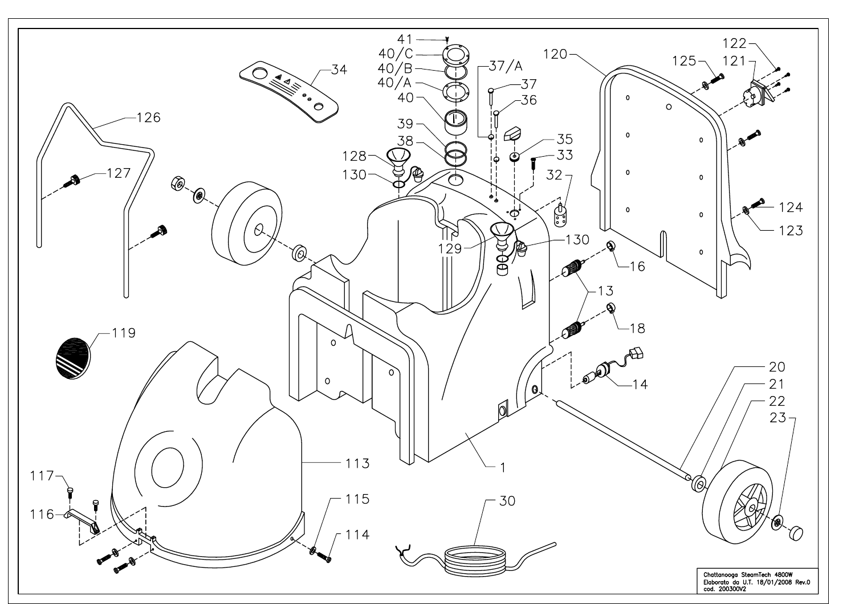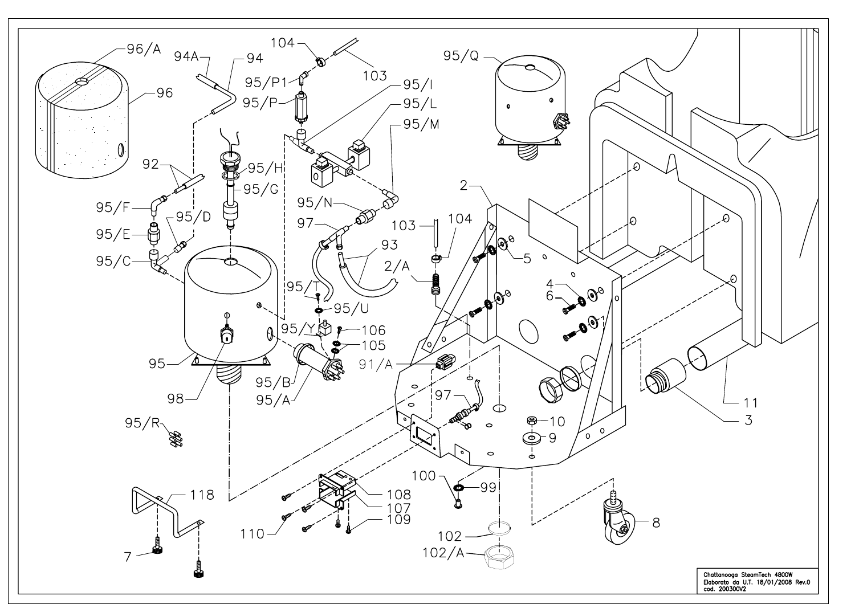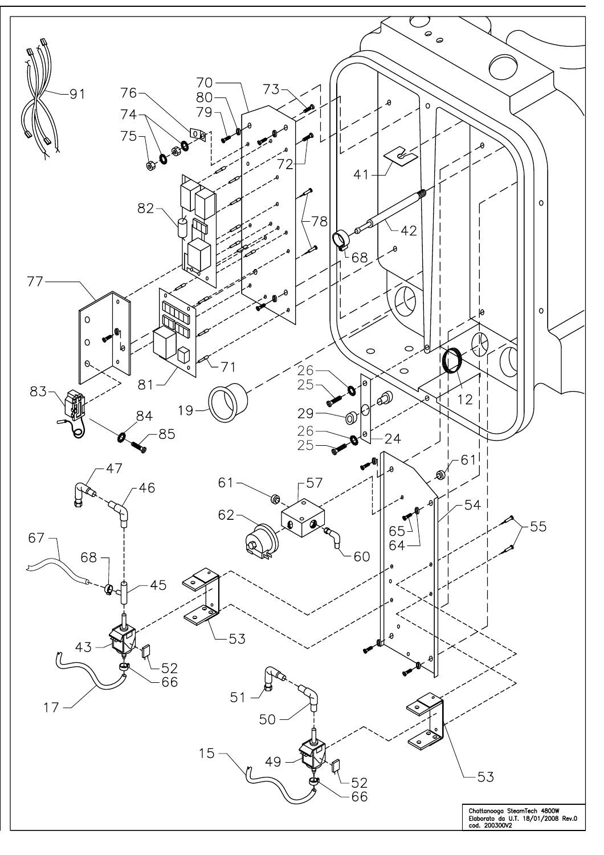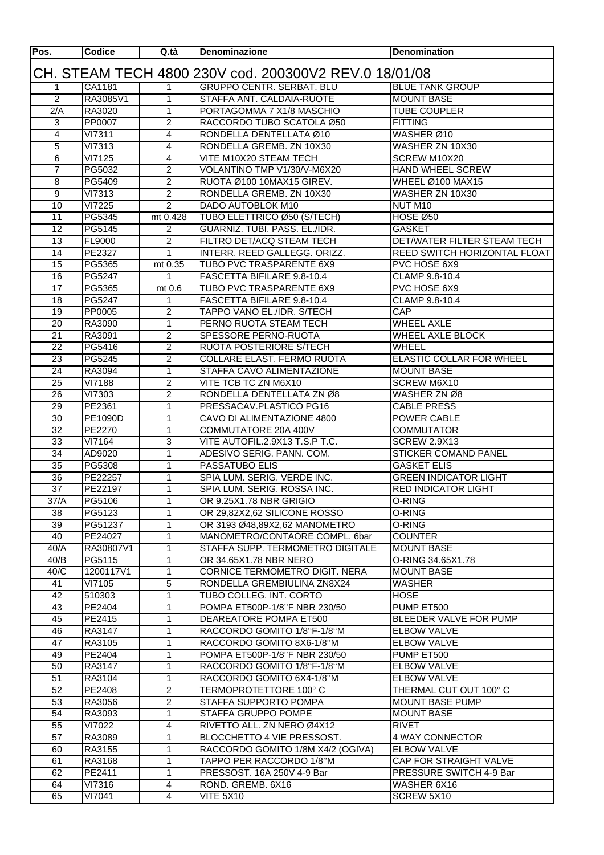| Pos.                                                  | <b>Codice</b>           | Q.tà                | <b>Denominazione</b>                                   | <b>Denomination</b>                              |  |  |  |
|-------------------------------------------------------|-------------------------|---------------------|--------------------------------------------------------|--------------------------------------------------|--|--|--|
| CH. STEAM TECH 4800 230V cod. 200300V2 REV.0 18/01/08 |                         |                     |                                                        |                                                  |  |  |  |
| 1                                                     | CA1181                  | 1                   | <b>GRUPPO CENTR. SERBAT. BLU</b>                       | <b>BLUE TANK GROUP</b>                           |  |  |  |
| $\overline{2}$                                        | RA3085V1                | 1                   | STAFFA ANT. CALDAIA-RUOTE                              | <b>MOUNT BASE</b>                                |  |  |  |
| 2/A                                                   | RA3020                  | 1                   | PORTAGOMMA 7 X1/8 MASCHIO                              | <b>TUBE COUPLER</b>                              |  |  |  |
| 3                                                     | PP0007                  | $\overline{2}$      | RACCORDO TUBO SCATOLA Ø50                              | <b>FITTING</b>                                   |  |  |  |
| 4                                                     | <b>VI7311</b>           | 4                   | RONDELLA DENTELLATA Ø10                                | WASHER Ø10                                       |  |  |  |
| 5                                                     | $\overline{VI73}13$     | $\overline{4}$      | RONDELLA GREMB. ZN 10X30                               | WASHER ZN 10X30                                  |  |  |  |
| $\overline{6}$                                        | VI7125                  | 4                   | VITE M10X20 STEAM TECH                                 | SCREW M10X20                                     |  |  |  |
| $\overline{7}$                                        | PG5032                  | $\overline{2}$      | VOLANTINO TMP V1/30/V-M6X20                            | <b>HAND WHEEL SCREW</b>                          |  |  |  |
| $\overline{8}$                                        | PG5409                  | $\overline{2}$      | RUOTA Ø100 10MAX15 GIREV.                              | <b>WHEEL Ø100 MAX15</b>                          |  |  |  |
| $\overline{9}$                                        | VI7313                  | $\overline{2}$      | RONDELLA GREMB. ZN 10X30                               | WASHER ZN 10X30                                  |  |  |  |
| 10                                                    | VI7225                  | $\overline{2}$      | <b>DADO AUTOBLOK M10</b>                               | NUT M10                                          |  |  |  |
| 11                                                    | PG5345                  | mt 0.428            | TUBO ELETTRICO Ø50 (S/TECH)                            | <b>HOSE Ø50</b>                                  |  |  |  |
| 12                                                    | PG5145                  | $\overline{c}$      | GUARNIZ. TUBI. PASS. EL./IDR.                          | <b>GASKET</b>                                    |  |  |  |
| 13                                                    | <b>FL9000</b>           | $\overline{2}$      | FILTRO DET/ACQ STEAM TECH                              | DET/WATER FILTER STEAM TECH                      |  |  |  |
| 14                                                    | PE2327                  | $\mathbf 1$         | INTERR. REED GALLEGG. ORIZZ.                           | REED SWITCH HORIZONTAL FLOAT                     |  |  |  |
| 15                                                    | PG5365                  | mt 0.35             | TUBO PVC TRASPARENTE 6X9                               | PVC HOSE 6X9                                     |  |  |  |
| 16                                                    | PG5247                  | 1                   | FASCETTA BIFILARE 9.8-10.4                             | CLAMP 9.8-10.4                                   |  |  |  |
| 17                                                    | PG5365                  | mt 0.6              | TUBO PVC TRASPARENTE 6X9                               | PVC HOSE 6X9                                     |  |  |  |
| 18                                                    | PG5247                  | 1                   | FASCETTA BIFILARE 9.8-10.4                             | CLAMP 9.8-10.4                                   |  |  |  |
| 19                                                    | PP0005                  | $\overline{2}$      | TAPPO VANO EL./IDR. S/TECH                             | <b>CAP</b>                                       |  |  |  |
| 20                                                    | RA3090                  | $\mathbf{1}$        | PERNO RUOTA STEAM TECH                                 | <b>WHEEL AXLE</b>                                |  |  |  |
| 21                                                    | RA3091                  | $\overline{2}$      | <b>SPESSORE PERNO-RUOTA</b>                            | <b>WHEEL AXLE BLOCK</b>                          |  |  |  |
| 22                                                    | PG5416                  | $\overline{2}$      | RUOTA POSTERIORE S/TECH                                | <b>WHEEL</b>                                     |  |  |  |
| 23                                                    | PG5245                  | $\overline{2}$      | COLLARE ELAST. FERMO RUOTA                             | ELASTIC COLLAR FOR WHEEL                         |  |  |  |
| 24<br>25                                              | RA3094                  | 1<br>$\overline{2}$ | STAFFA CAVO ALIMENTAZIONE                              | <b>MOUNT BASE</b><br><b>SCREW M6X10</b>          |  |  |  |
| 26                                                    | <b>VI7188</b><br>VI7303 | $\overline{2}$      | VITE TCB TC ZN M6X10<br>RONDELLA DENTELLATA ZN Ø8      | WASHER ZN Ø8                                     |  |  |  |
| 29                                                    | PE2361                  | 1                   | PRESSACAV.PLASTICO PG16                                | <b>CABLE PRESS</b>                               |  |  |  |
| 30                                                    | PE1090D                 | 1                   | CAVO DI ALIMENTAZIONE 4800                             | POWER CABLE                                      |  |  |  |
| $\overline{32}$                                       | PE2270                  | 1                   | COMMUTATORE 20A 400V                                   | <b>COMMUTATOR</b>                                |  |  |  |
| 33                                                    | VI7164                  | 3                   | VITE AUTOFIL.2.9X13 T.S.P T.C.                         | <b>SCREW 2.9X13</b>                              |  |  |  |
| $\overline{34}$                                       | AD9020                  | $\mathbf{1}$        | ADESIVO SERIG. PANN. COM.                              | <b>STICKER COMAND PANEL</b>                      |  |  |  |
| 35                                                    | PG5308                  | 1                   | <b>PASSATUBO ELIS</b>                                  | <b>GASKET ELIS</b>                               |  |  |  |
| 36                                                    | PE22257                 | 1                   | SPIA LUM. SERIG. VERDE INC.                            | <b>GREEN INDICATOR LIGHT</b>                     |  |  |  |
| $\overline{37}$                                       | PE22197                 | 1                   | SPIA LUM. SERIG. ROSSA INC.                            | <b>RED INDICATOR LIGHT</b>                       |  |  |  |
| 37/A                                                  | PG5106                  | $\overline{1}$      | OR 9.25X1.78 NBR GRIGIO                                | O-RING                                           |  |  |  |
| 38                                                    | PG5123                  | $\mathbf{1}$        | OR 29,82X2,62 SILICONE ROSSO                           | O-RING                                           |  |  |  |
| 39                                                    | PG51237                 | 1.                  | OR 3193 Ø48,89X2,62 MANOMETRO                          | O-RING                                           |  |  |  |
| 40                                                    | PE24027                 | $\mathbf{1}$        | MANOMETRO/CONTAORE COMPL. 6bar                         | <b>COUNTER</b>                                   |  |  |  |
| 40/A                                                  | RA30807V1               | 1                   | STAFFA SUPP. TERMOMETRO DIGITALE                       | <b>MOUNT BASE</b>                                |  |  |  |
| 40/B                                                  | PG5115                  | $\mathbf{1}$        | OR 34.65X1.78 NBR NERO                                 | O-RING 34.65X1.78                                |  |  |  |
| 40/C                                                  | 1200117V1               | 1                   | CORNICE TERMOMETRO DIGIT. NERA                         | <b>MOUNT BASE</b>                                |  |  |  |
| 41                                                    | VI7105                  | $\overline{5}$      | RONDELLA GREMBIULINA ZN8X24                            | <b>WASHER</b>                                    |  |  |  |
| 42                                                    | 510303                  | 1                   | TUBO COLLEG. INT. CORTO                                | <b>HOSE</b>                                      |  |  |  |
| 43                                                    | PE2404                  | $\mathbf{1}$        | POMPA ET500P-1/8"F NBR 230/50                          | PUMP ET500                                       |  |  |  |
| 45                                                    | PE2415                  | $\mathbf{1}$        | DEAREATORE POMPA ET500                                 | <b>BLEEDER VALVE FOR PUMP</b>                    |  |  |  |
| 46                                                    | RA3147                  | 1                   | RACCORDO GOMITO 1/8"F-1/8"M                            | <b>ELBOW VALVE</b>                               |  |  |  |
| 47                                                    | RA3105                  | 1                   | RACCORDO GOMITO 8X6-1/8"M                              | <b>ELBOW VALVE</b>                               |  |  |  |
| 49                                                    | PE2404                  | 1                   | POMPA ET500P-1/8"F NBR 230/50                          | PUMP ET500                                       |  |  |  |
| 50                                                    | RA3147                  | 1                   | RACCORDO GOMITO 1/8"F-1/8"M                            | <b>ELBOW VALVE</b>                               |  |  |  |
| 51                                                    | RA3104                  | 1<br>$\overline{2}$ | RACCORDO GOMITO 6X4-1/8"M                              | <b>ELBOW VALVE</b>                               |  |  |  |
| 52<br>53                                              | PE2408<br>RA3056        | $\overline{2}$      | <b>TERMOPROTETTORE 100° C</b><br>STAFFA SUPPORTO POMPA | THERMAL CUT OUT 100° C<br><b>MOUNT BASE PUMP</b> |  |  |  |
| 54                                                    | RA3093                  | 1                   | <b>STAFFA GRUPPO POMPE</b>                             | <b>MOUNT BASE</b>                                |  |  |  |
| 55                                                    | VI7022                  | $\overline{4}$      | RIVETTO ALL. ZN NERO Ø4X12                             | <b>RIVET</b>                                     |  |  |  |
| 57                                                    | RA3089                  | $\mathbf 1$         | BLOCCHETTO 4 VIE PRESSOST.                             | 4 WAY CONNECTOR                                  |  |  |  |
| 60                                                    | RA3155                  | 1                   | RACCORDO GOMITO 1/8M X4/2 (OGIVA)                      | <b>ELBOW VALVE</b>                               |  |  |  |
| 61                                                    | RA3168                  | 1                   | TAPPO PER RACCORDO 1/8"M                               | CAP FOR STRAIGHT VALVE                           |  |  |  |
| 62                                                    | PE2411                  | 1                   | PRESSOST. 16A 250V 4-9 Bar                             | PRESSURE SWITCH 4-9 Bar                          |  |  |  |
| 64                                                    | VI7316                  | 4                   | ROND. GREMB. 6X16                                      | WASHER 6X16                                      |  |  |  |
| 65                                                    | $\overline{VI7}041$     | 4                   | <b>VITE 5X10</b>                                       | SCREW 5X10                                       |  |  |  |
|                                                       |                         |                     |                                                        |                                                  |  |  |  |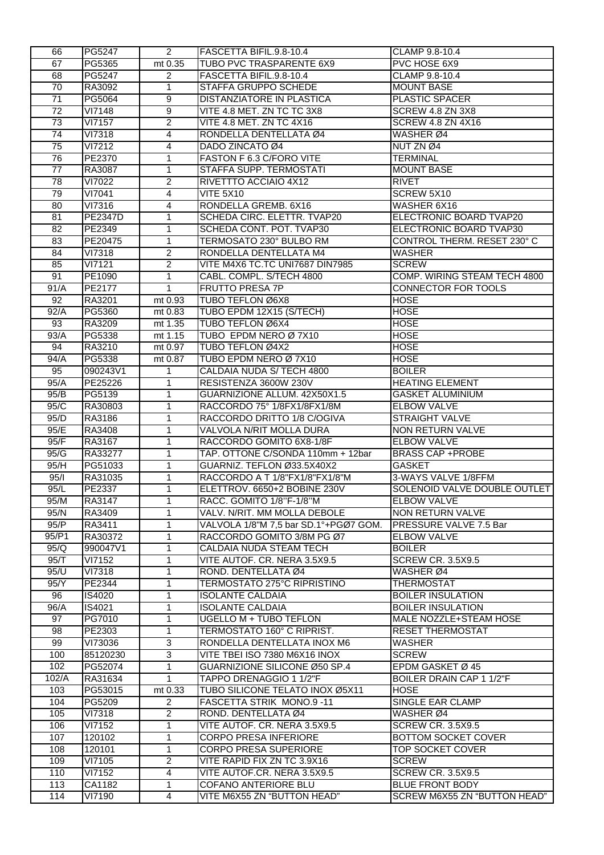| 66              | <b>PG5247</b>    | $\mathbf{2}^{\circ}$ | FASCETTA BIFIL.9.8-10.4                             | CLAMP 9.8-10.4                                         |
|-----------------|------------------|----------------------|-----------------------------------------------------|--------------------------------------------------------|
| 67              | PG5365           | mt 0.35              | TUBO PVC TRASPARENTE 6X9                            | <b>PVC HOSE 6X9</b>                                    |
| 68              | PG5247           | $\overline{2}$       | FASCETTA BIFIL.9.8-10.4                             | CLAMP 9.8-10.4                                         |
| 70              | RA3092           | 1                    | STAFFA GRUPPO SCHEDE                                | <b>MOUNT BASE</b>                                      |
| $\overline{71}$ | PG5064           | $\overline{9}$       | DISTANZIATORE IN PLASTICA                           | <b>PLASTIC SPACER</b>                                  |
| $\overline{72}$ | VI7148           | 9                    | VITE 4.8 MET. ZN TC TC 3X8                          | SCREW 4.8 ZN 3X8                                       |
| $\overline{73}$ | VI7157           | $\overline{2}$       | VITE 4.8 MET. ZN TC 4X16                            | <b>SCREW 4.8 ZN 4X16</b>                               |
| 74              | VI7318           | 4                    | RONDELLA DENTELLATA Ø4                              | WASHER Ø4                                              |
| 75              | <b>VI7212</b>    | 4                    | DADO ZINCATO Ø4                                     | NUT ZN Ø4                                              |
| 76              | PE2370           | 1                    | FASTON F 6.3 C/FORO VITE                            | <b>TERMINAL</b>                                        |
| 77              | RA3087           | $\mathbf{1}$         | STAFFA SUPP. TERMOSTATI                             | <b>MOUNT BASE</b>                                      |
| 78              | VI7022           | $\overline{2}$       | RIVETTTO ACCIAIO 4X12                               | <b>RIVET</b>                                           |
| 79              | VI7041           | 4                    | <b>VITE 5X10</b>                                    | SCREW 5X10                                             |
| 80              | VI7316           | 4                    | RONDELLA GREMB. 6X16                                | WASHER 6X16                                            |
| 81              | <b>PE2347D</b>   | 1                    | SCHEDA CIRC. ELETTR. TVAP20                         | ELECTRONIC BOARD TVAP20                                |
| 82              | PE2349           | $\mathbf 1$          | SCHEDA CONT. POT. TVAP30                            | ELECTRONIC BOARD TVAP30                                |
| 83              | PE20475          | $\mathbf{1}$         | TERMOSATO 230° BULBO RM                             | <b>CONTROL THERM. RESET 230° C</b>                     |
| 84              | VI7318           | $\overline{2}$       | RONDELLA DENTELLATA M4                              | <b>WASHER</b>                                          |
| 85              | VI7121           | $\overline{2}$       | VITE M4X6 TC.TC UNI7687 DIN7985                     | <b>SCREW</b>                                           |
| 91              | PE1090           | 1                    | CABL. COMPL. S/TECH 4800                            | COMP. WIRING STEAM TECH 4800                           |
| 91/A            | PE2177           | $\mathbf{1}$         | <b>FRUTTO PRESA 7P</b>                              | CONNECTOR FOR TOOLS                                    |
| 92              | RA3201           | mt 0.93              | <b>TUBO TEFLON Ø6X8</b>                             | <b>HOSE</b>                                            |
| 92/A            | PG5360           | mt 0.83              | TUBO EPDM 12X15 (S/TECH)                            | <b>HOSE</b>                                            |
| 93              | RA3209           | mt 1.35              | TUBO TEFLON Ø6X4                                    | <b>HOSE</b>                                            |
| 93/A            | PG5338           | mt 1.15              | TUBO EPDM NERO Ø 7X10                               | <b>HOSE</b>                                            |
| 94              | RA3210           | mt 0.97              | <b>TUBO TEFLON Ø4X2</b>                             | <b>HOSE</b>                                            |
| 94/A            | PG5338           | mt 0.87              | TUBO EPDM NERO Ø 7X10                               | <b>HOSE</b>                                            |
| 95              | 090243V1         | 1                    | CALDAIA NUDA S/ TECH 4800                           | <b>BOILER</b>                                          |
| 95/A            | PE25226          | 1                    | RESISTENZA 3600W 230V                               | <b>HEATING ELEMENT</b>                                 |
| 95/B            | PG5139           | $\mathbf{1}$         | GUARNIZIONE ALLUM. 42X50X1.5                        | <b>GASKET ALUMINIUM</b>                                |
| 95/C            | RA30803          | 1                    | RACCORDO 75° 1/8FX1/8FX1/8M                         | <b>ELBOW VALVE</b>                                     |
| 95/D            | RA3186           | 1                    | RACCORDO DRITTO 1/8 C/OGIVA                         | <b>STRAIGHT VALVE</b>                                  |
|                 |                  |                      |                                                     |                                                        |
| 95/E            | RA3408           | 1                    | VALVOLA N/RIT MOLLA DURA                            | <b>NON RETURN VALVE</b>                                |
| 95/F            | RA3167           | 1                    | RACCORDO GOMITO 6X8-1/8F                            | <b>ELBOW VALVE</b>                                     |
| 95/G            | RA33277          | 1                    | TAP. OTTONE C/SONDA 110mm + 12bar                   | <b>BRASS CAP +PROBE</b>                                |
| 95/H            | PG51033          | 1                    | GUARNIZ. TEFLON Ø33.5X40X2                          | <b>GASKET</b>                                          |
| 95/1            | RA31035          | 1                    | RACCORDO A T 1/8"FX1/8"FX1/8"M                      | 3-WAYS VALVE 1/8FFM                                    |
| 95/L            | PE2337           | $\mathbf{1}$         | ELETTROV. 6650+2 BOBINE 230V                        | SOLENOID VALVE DOUBLE OUTLET                           |
| 95/M            | RA3147           | 1                    | RACC. GOMITO 1/8"F-1/8"M                            | <b>ELBOW VALVE</b>                                     |
| 95/N            | RA3409           | 1                    | VALV. N/RIT. MM MOLLA DEBOLE                        | <b>NON RETURN VALVE</b>                                |
| 95/P            | RA3411           | $\mathbf{1}$         | VALVOLA 1/8"M 7,5 bar SD.1°+PGØ7 GOM.               | PRESSURE VALVE 7.5 Bar                                 |
| 95/P1           | RA30372          | $\mathbf{1}$         | RACCORDO GOMITO 3/8M PG Ø7                          | <b>ELBOW VALVE</b>                                     |
| 95/Q            | 990047V1         | 1                    | <b>CALDAIA NUDA STEAM TECH</b>                      | <b>BOILER</b>                                          |
| 95/T            | VI7152           | 1                    | VITE AUTOF. CR. NERA 3.5X9.5                        | <b>SCREW CR. 3.5X9.5</b>                               |
| 95/U            | <b>VI7318</b>    | 1                    | ROND. DENTELLATA Ø4                                 | WASHER Ø4                                              |
| 95/Y            | PE2344           | 1                    | TERMOSTATO 275°C RIPRISTINO                         | <b>THERMOSTAT</b>                                      |
| 96              | IS4020           | $\mathbf{1}$         | <b>ISOLANTE CALDAIA</b>                             | <b>BOILER INSULATION</b>                               |
| 96/A            | <b>IS4021</b>    | 1                    | <b>ISOLANTE CALDAIA</b>                             | <b>BOILER INSULATION</b>                               |
| 97              | PG7010           | 1                    | <b>UGELLO M + TUBO TEFLON</b>                       | MALE NOZZLE+STEAM HOSE                                 |
| 98              | PE2303           | 1                    | TERMOSTATO 160° C RIPRIST.                          | <b>RESET THERMOSTAT</b>                                |
| 99              | VI73036          | $\overline{3}$       | RONDELLA DENTELLATA INOX M6                         | <b>WASHER</b>                                          |
| 100             | 85120230         | $\overline{3}$       | VITE TBEI ISO 7380 M6X16 INOX                       | <b>SCREW</b>                                           |
| 102             | PG52074          | 1                    | GUARNIZIONE SILICONE Ø50 SP.4                       | EPDM GASKET Ø 45                                       |
| 102/A           | RA31634          | $\mathbf{1}$         | TAPPO DRENAGGIO 1 1/2"F                             | BOILER DRAIN CAP 1 1/2"F                               |
| 103             | PG53015          | mt 0.33              | TUBO SILICONE TELATO INOX Ø5X11                     | <b>HOSE</b>                                            |
| 104             | PG5209           | $\overline{2}$       | FASCETTA STRIK MONO.9-11                            | SINGLE EAR CLAMP                                       |
| 105             | <b>VI7318</b>    | $\overline{2}$       | ROND. DENTELLATA Ø4                                 | WASHER Ø4                                              |
| 106             | VI7152           | 1                    | VITE AUTOF. CR. NERA 3.5X9.5                        | <b>SCREW CR. 3.5X9.5</b>                               |
| 107             | 120102           | 1                    | <b>CORPO PRESA INFERIORE</b>                        | <b>BOTTOM SOCKET COVER</b>                             |
| 108             | 120101           | 1                    | <b>CORPO PRESA SUPERIORE</b>                        | <b>TOP SOCKET COVER</b>                                |
| 109             | VI7105           | $\overline{c}$       | VITE RAPID FIX ZN TC 3.9X16                         | <b>SCREW</b>                                           |
| 110             | VI7152           | 4                    | VITE AUTOF.CR. NERA 3.5X9.5                         | <b>SCREW CR. 3.5X9.5</b>                               |
| 113<br>114      | CA1182<br>VI7190 | 1<br>4               | COFANO ANTERIORE BLU<br>VITE M6X55 ZN "BUTTON HEAD" | <b>BLUE FRONT BODY</b><br>SCREW M6X55 ZN "BUTTON HEAD" |